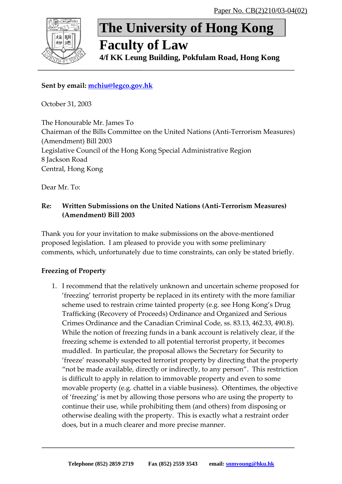

# **The University of Hong Kong**

# **Faculty of Law**

**4/f KK Leung Building, Pokfulam Road, Hong Kong**

# **Sent by email: [mchiu@legco.gov.hk](mailto:mchiu@legco.gov.hk)**

October 31, 2003

The Honourable Mr. James To Chairman of the Bills Committee on the United Nations (Anti‐Terrorism Measures) (Amendment) Bill 2003 Legislative Council of the Hong Kong Special Administrative Region 8 Jackson Road Central, Hong Kong

Dear Mr. To:

### **Re: Written Submissions on the United Nations (Anti‐Terrorism Measures) (Amendment) Bill 2003**

Thank you for your invitation to make submissions on the above‐mentioned proposed legislation. I am pleased to provide you with some preliminary comments, which, unfortunately due to time constraints, can only be stated briefly.

## **Freezing of Property**

1. I recommend that the relatively unknown and uncertain scheme proposed for 'freezing' terrorist property be replaced in its entirety with the more familiar scheme used to restrain crime tainted property (e.g. see Hong Kong's Drug Trafficking (Recovery of Proceeds) Ordinance and Organized and Serious Crimes Ordinance and the Canadian Criminal Code, ss. 83.13, 462.33, 490.8). While the notion of freezing funds in a bank account is relatively clear, if the freezing scheme is extended to all potential terrorist property, it becomes muddled. In particular, the proposal allows the Secretary for Security to 'freeze' reasonably suspected terrorist property by directing that the property "not be made available, directly or indirectly, to any person". This restriction is difficult to apply in relation to immovable property and even to some movable property (e.g. chattel in a viable business). Oftentimes, the objective of 'freezing' is met by allowing those persons who are using the property to continue their use, while prohibiting them (and others) from disposing or otherwise dealing with the property. This is exactly what a restraint order does, but in a much clearer and more precise manner.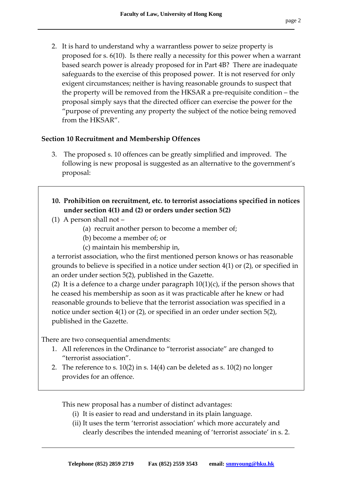2. It is hard to understand why a warrantless power to seize property is proposed for s. 6(10). Is there really a necessity for this power when a warrant based search power is already proposed for in Part 4B? There are inadequate safeguards to the exercise of this proposed power. It is not reserved for only exigent circumstances; neither is having reasonable grounds to suspect that the property will be removed from the HKSAR a pre‐requisite condition – the proposal simply says that the directed officer can exercise the power for the "purpose of preventing any property the subject of the notice being removed from the HKSAR".

#### **Section 10 Recruitment and Membership Offences**

- 3. The proposed s. 10 offences can be greatly simplified and improved. The following is new proposal is suggested as an alternative to the government's proposal:
- **10. Prohibition on recruitment, etc. to terrorist associations specified in notices under section 4(1) and (2) or orders under section 5(2)**
- (1) A person shall not
	- (a) recruit another person to become a member of;
	- (b) become a member of; or
	- (c) maintain his membership in,

a terrorist association, who the first mentioned person knows or has reasonable grounds to believe is specified in a notice under section 4(1) or (2), or specified in an order under section 5(2), published in the Gazette.

(2) It is a defence to a charge under paragraph  $10(1)(c)$ , if the person shows that he ceased his membership as soon as it was practicable after he knew or had reasonable grounds to believe that the terrorist association was specified in a notice under section 4(1) or (2), or specified in an order under section 5(2), published in the Gazette.

There are two consequential amendments:

- 1. All references in the Ordinance to "terrorist associate" are changed to "terrorist association".
- 2. The reference to s. 10(2) in s. 14(4) can be deleted as s. 10(2) no longer provides for an offence.

This new proposal has a number of distinct advantages:

- (i) It is easier to read and understand in its plain language.
- (ii) It uses the term 'terrorist association' which more accurately and clearly describes the intended meaning of 'terrorist associate' in s. 2.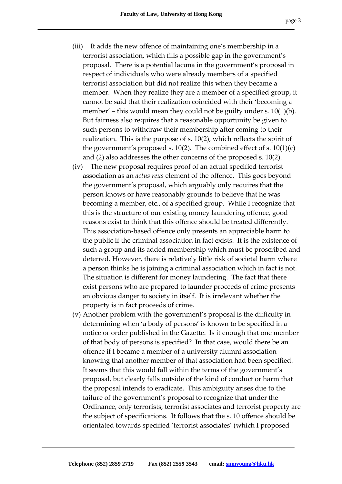- (iii) It adds the new offence of maintaining one's membership in a terrorist association, which fills a possible gap in the government's proposal. There is a potential lacuna in the government's proposal in respect of individuals who were already members of a specified terrorist association but did not realize this when they became a member. When they realize they are a member of a specified group, it cannot be said that their realization coincided with their 'becoming a member' – this would mean they could not be guilty under s.  $10(1)(b)$ . But fairness also requires that a reasonable opportunity be given to such persons to withdraw their membership after coming to their realization. This is the purpose of s. 10(2), which reflects the spirit of the government's proposed s. 10(2). The combined effect of s.  $10(1)(c)$ and (2) also addresses the other concerns of the proposed s. 10(2).
- (iv) The new proposal requires proof of an actual specified terrorist association as an *actus reus* element of the offence. This goes beyond the government's proposal, which arguably only requires that the person knows or have reasonably grounds to believe that he was becoming a member, etc., of a specified group. While I recognize that this is the structure of our existing money laundering offence, good reasons exist to think that this offence should be treated differently. This association‐based offence only presents an appreciable harm to the public if the criminal association in fact exists. It is the existence of such a group and its added membership which must be proscribed and deterred. However, there is relatively little risk of societal harm where a person thinks he is joining a criminal association which in fact is not. The situation is different for money laundering. The fact that there exist persons who are prepared to launder proceeds of crime presents an obvious danger to society in itself. It is irrelevant whether the property is in fact proceeds of crime.
- (v) Another problem with the government's proposal is the difficulty in determining when 'a body of persons' is known to be specified in a notice or order published in the Gazette. Is it enough that one member of that body of persons is specified? In that case, would there be an offence if I became a member of a university alumni association knowing that another member of that association had been specified. It seems that this would fall within the terms of the government's proposal, but clearly falls outside of the kind of conduct or harm that the proposal intends to eradicate. This ambiguity arises due to the failure of the government's proposal to recognize that under the Ordinance, only terrorists, terrorist associates and terrorist property are the subject of specifications. It follows that the s. 10 offence should be orientated towards specified 'terrorist associates' (which I proposed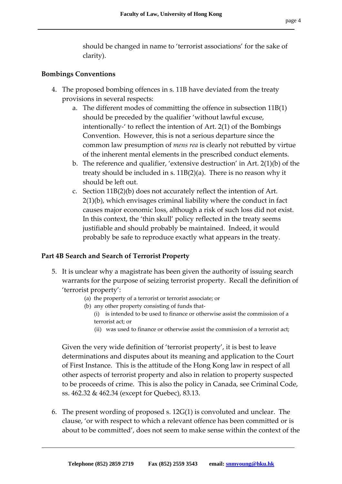should be changed in name to 'terrorist associations' for the sake of clarity).

#### **Bombings Conventions**

- 4. The proposed bombing offences in s. 11B have deviated from the treaty provisions in several respects:
	- a. The different modes of committing the offence in subsection 11B(1) should be preceded by the qualifier 'without lawful excuse, intentionally‐' to reflect the intention of Art. 2(1) of the Bombings Convention. However, this is not a serious departure since the common law presumption of *mens rea* is clearly not rebutted by virtue of the inherent mental elements in the prescribed conduct elements.
	- b. The reference and qualifier, 'extensive destruction' in Art. 2(1)(b) of the treaty should be included in s. 11B(2)(a). There is no reason why it should be left out.
	- c. Section 11B(2)(b) does not accurately reflect the intention of Art. 2(1)(b), which envisages criminal liability where the conduct in fact causes major economic loss, although a risk of such loss did not exist. In this context, the 'thin skull' policy reflected in the treaty seems justifiable and should probably be maintained. Indeed, it would probably be safe to reproduce exactly what appears in the treaty.

#### **Part 4B Search and Search of Terrorist Property**

- 5. It is unclear why a magistrate has been given the authority of issuing search warrants for the purpose of seizing terrorist property. Recall the definition of 'terrorist property':
	- (a) the property of a terrorist or terrorist associate; or
	- (b) any other property consisting of funds that‐
		- (i) is intended to be used to finance or otherwise assist the commission of a terrorist act; or
		- (ii) was used to finance or otherwise assist the commission of a terrorist act;

Given the very wide definition of 'terrorist property', it is best to leave determinations and disputes about its meaning and application to the Court of First Instance. This is the attitude of the Hong Kong law in respect of all other aspects of terrorist property and also in relation to property suspected to be proceeds of crime. This is also the policy in Canada, see Criminal Code, ss. 462.32 & 462.34 (except for Quebec), 83.13.

6. The present wording of proposed s. 12G(1) is convoluted and unclear. The clause, 'or with respect to which a relevant offence has been committed or is about to be committed', does not seem to make sense within the context of the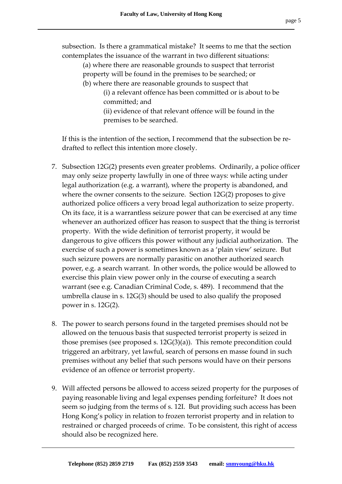subsection. Is there a grammatical mistake? It seems to me that the section contemplates the issuance of the warrant in two different situations:

- (a) where there are reasonable grounds to suspect that terrorist property will be found in the premises to be searched; or
- (b) where there are reasonable grounds to suspect that
	- (i) a relevant offence has been committed or is about to be committed; and
	- (ii) evidence of that relevant offence will be found in the premises to be searched.

If this is the intention of the section, I recommend that the subsection be re‐ drafted to reflect this intention more closely.

- 7. Subsection 12G(2) presents even greater problems. Ordinarily, a police officer may only seize property lawfully in one of three ways: while acting under legal authorization (e.g. a warrant), where the property is abandoned, and where the owner consents to the seizure. Section 12G(2) proposes to give authorized police officers a very broad legal authorization to seize property. On its face, it is a warrantless seizure power that can be exercised at any time whenever an authorized officer has reason to suspect that the thing is terrorist property. With the wide definition of terrorist property, it would be dangerous to give officers this power without any judicial authorization. The exercise of such a power is sometimes known as a 'plain view' seizure. But such seizure powers are normally parasitic on another authorized search power, e.g. a search warrant. In other words, the police would be allowed to exercise this plain view power only in the course of executing a search warrant (see e.g. Canadian Criminal Code, s. 489). I recommend that the umbrella clause in s. 12G(3) should be used to also qualify the proposed power in s. 12G(2).
- 8. The power to search persons found in the targeted premises should not be allowed on the tenuous basis that suspected terrorist property is seized in those premises (see proposed s. 12G(3)(a)). This remote precondition could triggered an arbitrary, yet lawful, search of persons en masse found in such premises without any belief that such persons would have on their persons evidence of an offence or terrorist property.
- 9. Will affected persons be allowed to access seized property for the purposes of paying reasonable living and legal expenses pending forfeiture? It does not seem so judging from the terms of s. 12I. But providing such access has been Hong Kong's policy in relation to frozen terrorist property and in relation to restrained or charged proceeds of crime. To be consistent, this right of access should also be recognized here.